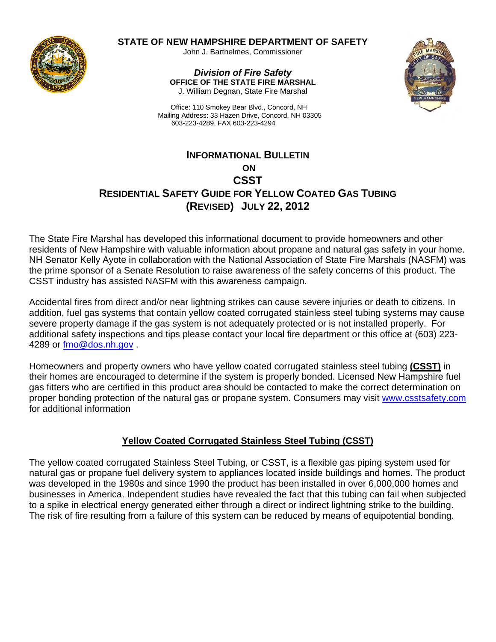

### **STATE OF NEW HAMPSHIRE DEPARTMENT OF SAFETY**

John J. Barthelmes, Commissioner

*Division of Fire Safety* **OFFICE OF THE STATE FIRE MARSHAL**  J. William Degnan, State Fire Marshal



 Office: 110 Smokey Bear Blvd., Concord, NH Mailing Address: 33 Hazen Drive, Concord, NH 03305 603-223-4289, FAX 603-223-4294

# **INFORMATIONAL BULLETIN ON CSST RESIDENTIAL SAFETY GUIDE FOR YELLOW COATED GAS TUBING (REVISED) JULY 22, 2012**

The State Fire Marshal has developed this informational document to provide homeowners and other residents of New Hampshire with valuable information about propane and natural gas safety in your home. NH Senator Kelly Ayote in collaboration with the National Association of State Fire Marshals (NASFM) was the prime sponsor of a Senate Resolution to raise awareness of the safety concerns of this product. The CSST industry has assisted NASFM with this awareness campaign.

Accidental fires from direct and/or near lightning strikes can cause severe injuries or death to citizens. In addition, fuel gas systems that contain yellow coated corrugated stainless steel tubing systems may cause severe property damage if the gas system is not adequately protected or is not installed properly. For additional safety inspections and tips please contact your local fire department or this office at (603) 223- 4289 or fmo@dos.nh.gov .

Homeowners and property owners who have yellow coated corrugated stainless steel tubing **(CSST)** in their homes are encouraged to determine if the system is properly bonded. Licensed New Hampshire fuel gas fitters who are certified in this product area should be contacted to make the correct determination on proper bonding protection of the natural gas or propane system. Consumers may visit www.csstsafety.com for additional information

### **Yellow Coated Corrugated Stainless Steel Tubing (CSST)**

The yellow coated corrugated Stainless Steel Tubing, or CSST, is a flexible gas piping system used for natural gas or propane fuel delivery system to appliances located inside buildings and homes. The product was developed in the 1980s and since 1990 the product has been installed in over 6,000,000 homes and businesses in America. Independent studies have revealed the fact that this tubing can fail when subjected to a spike in electrical energy generated either through a direct or indirect lightning strike to the building. The risk of fire resulting from a failure of this system can be reduced by means of equipotential bonding.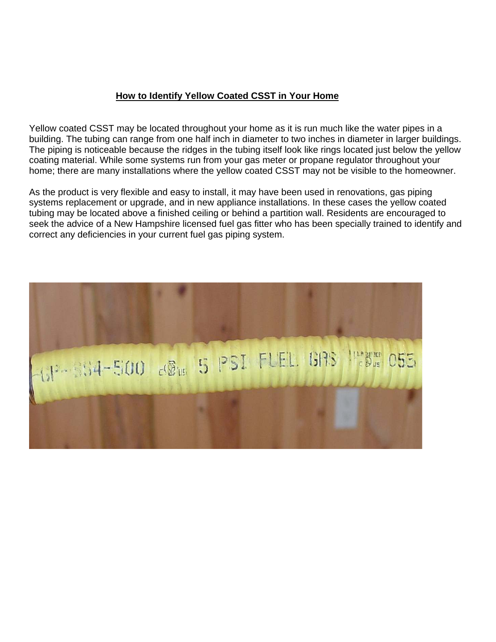### **How to Identify Yellow Coated CSST in Your Home**

Yellow coated CSST may be located throughout your home as it is run much like the water pipes in a building. The tubing can range from one half inch in diameter to two inches in diameter in larger buildings. The piping is noticeable because the ridges in the tubing itself look like rings located just below the yellow coating material. While some systems run from your gas meter or propane regulator throughout your home; there are many installations where the yellow coated CSST may not be visible to the homeowner.

As the product is very flexible and easy to install, it may have been used in renovations, gas piping systems replacement or upgrade, and in new appliance installations. In these cases the yellow coated tubing may be located above a finished ceiling or behind a partition wall. Residents are encouraged to seek the advice of a New Hampshire licensed fuel gas fitter who has been specially trained to identify and correct any deficiencies in your current fuel gas piping system.

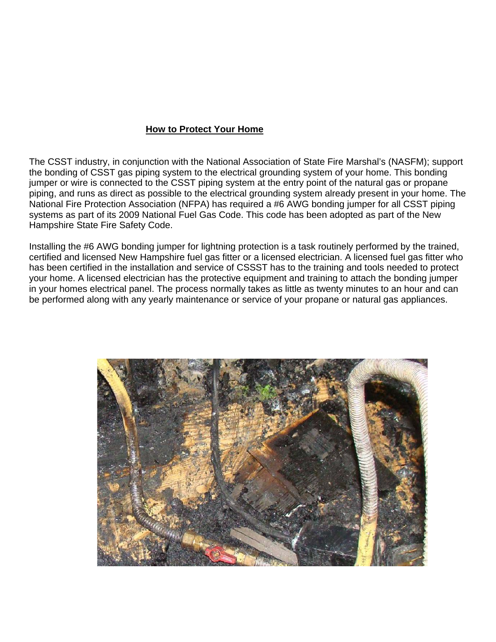#### **How to Protect Your Home**

The CSST industry, in conjunction with the National Association of State Fire Marshal's (NASFM); support the bonding of CSST gas piping system to the electrical grounding system of your home. This bonding jumper or wire is connected to the CSST piping system at the entry point of the natural gas or propane piping, and runs as direct as possible to the electrical grounding system already present in your home. The National Fire Protection Association (NFPA) has required a #6 AWG bonding jumper for all CSST piping systems as part of its 2009 National Fuel Gas Code. This code has been adopted as part of the New Hampshire State Fire Safety Code.

Installing the #6 AWG bonding jumper for lightning protection is a task routinely performed by the trained, certified and licensed New Hampshire fuel gas fitter or a licensed electrician. A licensed fuel gas fitter who has been certified in the installation and service of CSSST has to the training and tools needed to protect your home. A licensed electrician has the protective equipment and training to attach the bonding jumper in your homes electrical panel. The process normally takes as little as twenty minutes to an hour and can be performed along with any yearly maintenance or service of your propane or natural gas appliances.